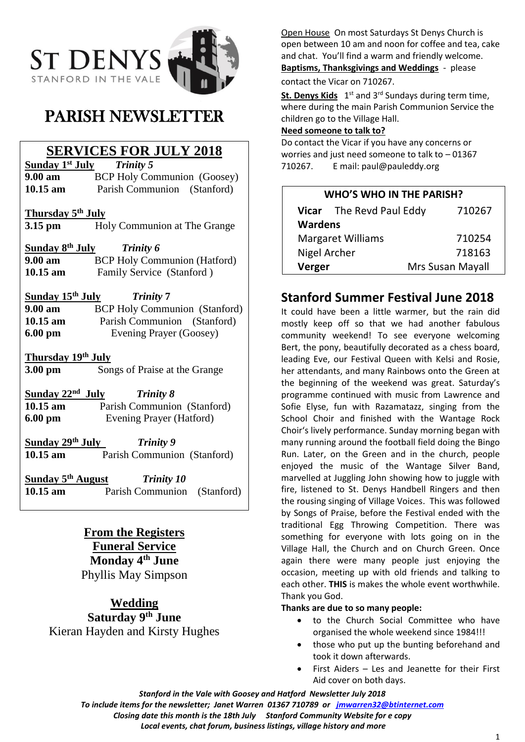

# PARISH NEWSLETTER

## **SERVICES FOR JULY 2018**

**Sunday 1st July** *Trinity 5* **9.00 am** BCP Holy Communion (Goosey) **10.15 am** Parish Communion (Stanford)

**Thursday 5th July**

**3.15 pm** Holy Communion at The Grange

**Sunday 8th July** *Trinity 6* **9.00 am BCP Holy Communion (Hatford)** 10.15 am Family Service (Stanford )

**Sunday 15th July** *Trinity* **7 9.00 am** BCP Holy Communion (Stanford) **10.15 am** Parish Communion (Stanford) **6.00 pm** Evening Prayer (Goosey)

**Thursday 19th July**

**3.00 pm** Songs of Praise at the Grange

**Sunday 22nd** *Trinity 8* **10.15 am** Parish Communion (Stanford) **6.00 pm** Evening Prayer (Hatford)

**Sunday 29th July** *Trinity 9* **10.15 am** Parish Communion (Stanford)

**Sunday 5th August** *Trinity 10* **10.15 am** Parish Communion (Stanford)

## **From the Registers Funeral Service Monday 4th June** Phyllis May Simpson

**Wedding Saturday 9th June** Kieran Hayden and Kirsty Hughes Open House On most Saturdays St Denys Church is open between 10 am and noon for coffee and tea, cake and chat. You'll find a warm and friendly welcome. **Baptisms, Thanksgivings and Weddings** - please contact the Vicar on 710267.

St. Denys Kids 1<sup>st</sup> and 3<sup>rd</sup> Sundays during term time, where during the main Parish Communion Service the children go to the Village Hall.

## **Need someone to talk to?**

Do contact the Vicar if you have any concerns or worries and just need someone to talk to – 01367 710267. E mail: paul@pauleddy.org

| <b>WHO'S WHO IN THE PARISH?</b> |                          |                  |
|---------------------------------|--------------------------|------------------|
|                                 | Vicar The Revd Paul Eddy | 710267           |
| <b>Wardens</b>                  |                          |                  |
| <b>Margaret Williams</b>        |                          | 710254           |
| Nigel Archer                    |                          | 718163           |
| Verger                          |                          | Mrs Susan Mayall |

## **Stanford Summer Festival June 2018**

It could have been a little warmer, but the rain did mostly keep off so that we had another fabulous community weekend! To see everyone welcoming Bert, the pony, beautifully decorated as a chess board, leading Eve, our Festival Queen with Kelsi and Rosie, her attendants, and many Rainbows onto the Green at the beginning of the weekend was great. Saturday's programme continued with music from Lawrence and Sofie Elyse, fun with Razamatazz, singing from the School Choir and finished with the Wantage Rock Choir's lively performance. Sunday morning began with many running around the football field doing the Bingo Run. Later, on the Green and in the church, people enjoyed the music of the Wantage Silver Band, marvelled at Juggling John showing how to juggle with fire, listened to St. Denys Handbell Ringers and then the rousing singing of Village Voices. This was followed by Songs of Praise, before the Festival ended with the traditional Egg Throwing Competition. There was something for everyone with lots going on in the Village Hall, the Church and on Church Green. Once again there were many people just enjoying the occasion, meeting up with old friends and talking to each other. **THIS** is makes the whole event worthwhile. Thank you God.

## **Thanks are due to so many people:**

- to the Church Social Committee who have organised the whole weekend since 1984!!!
- those who put up the bunting beforehand and took it down afterwards.
- First Aiders Les and Jeanette for their First Aid cover on both days.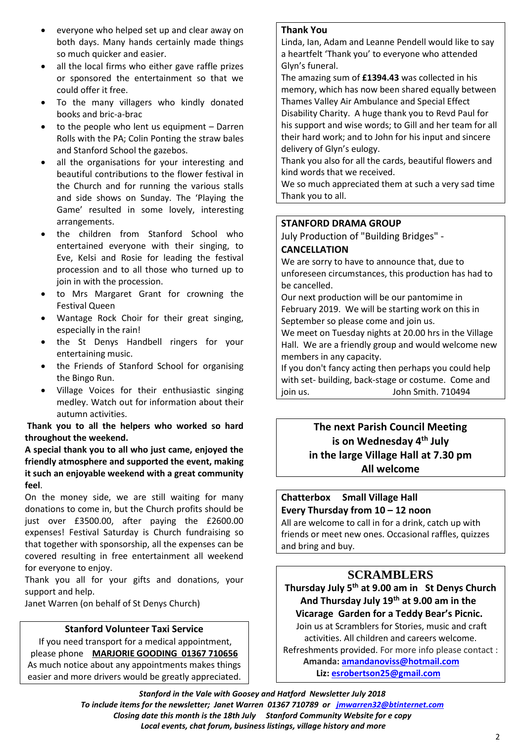- everyone who helped set up and clear away on both days. Many hands certainly made things so much quicker and easier.
- all the local firms who either gave raffle prizes or sponsored the entertainment so that we could offer it free.
- To the many villagers who kindly donated books and bric-a-brac
- to the people who lent us equipment  $-$  Darren Rolls with the PA; Colin Ponting the straw bales and Stanford School the gazebos.
- all the organisations for your interesting and beautiful contributions to the flower festival in the Church and for running the various stalls and side shows on Sunday. The 'Playing the Game' resulted in some lovely, interesting arrangements.
- the children from Stanford School who entertained everyone with their singing, to Eve, Kelsi and Rosie for leading the festival procession and to all those who turned up to join in with the procession.
- to Mrs Margaret Grant for crowning the Festival Queen
- Wantage Rock Choir for their great singing, especially in the rain!
- the St Denys Handbell ringers for your entertaining music.
- the Friends of Stanford School for organising the Bingo Run.
- Village Voices for their enthusiastic singing medley. Watch out for information about their autumn activities.

**Thank you to all the helpers who worked so hard throughout the weekend.**

**A special thank you to all who just came, enjoyed the friendly atmosphere and supported the event, making it such an enjoyable weekend with a great community feel**.

On the money side, we are still waiting for many donations to come in, but the Church profits should be just over £3500.00, after paying the £2600.00 expenses! Festival Saturday is Church fundraising so that together with sponsorship, all the expenses can be covered resulting in free entertainment all weekend for everyone to enjoy.

Thank you all for your gifts and donations, your support and help.

Janet Warren (on behalf of St Denys Church)

### **Stanford Volunteer Taxi Service**

If you need transport for a medical appointment, please phone **MARJORIE GOODING 01367 710656** As much notice about any appointments makes things easier and more drivers would be greatly appreciated.

#### **Thank You**

Linda, Ian, Adam and Leanne Pendell would like to say a heartfelt 'Thank you' to everyone who attended Glyn's funeral.

The amazing sum of **£1394.43** was collected in his memory, which has now been shared equally between Thames Valley Air Ambulance and Special Effect Disability Charity. A huge thank you to Revd Paul for his support and wise words; to Gill and her team for all their hard work; and to John for his input and sincere delivery of Glyn's eulogy.

Thank you also for all the cards, beautiful flowers and kind words that we received.

We so much appreciated them at such a very sad time Thank you to all.

#### **STANFORD DRAMA GROUP**

July Production of "Building Bridges" -

#### **CANCELLATION**

We are sorry to have to announce that, due to unforeseen circumstances, this production has had to be cancelled.

Our next production will be our pantomime in February 2019. We will be starting work on this in September so please come and join us.

We meet on Tuesday nights at 20.00 hrs in the Village Hall. We are a friendly group and would welcome new members in any capacity.

If you don't fancy acting then perhaps you could help with set- building, back-stage or costume. Come and join us. John Smith. 710494

## **The next Parish Council Meeting is on Wednesday 4th July in the large Village Hall at 7.30 pm All welcome**

**Chatterbox Small Village Hall Every Thursday from 10 – 12 noon**

All are welcome to call in for a drink, catch up with friends or meet new ones. Occasional raffles, quizzes and bring and buy.

## **SCRAMBLERS**

**Thursday July 5 th at 9.00 am in St Denys Church And Thursday July 19th at 9.00 am in the Vicarage Garden for a Teddy Bear's Picnic.**

Join us at Scramblers for Stories, music and craft activities. All children and careers welcome. Refreshments provided. For more info please contact :  **Amanda[: amandanoviss@hotmail.com](mailto:amandanoviss@hotmail.com)**

 **Liz: [esrobertson25@gmail.com](mailto:esrobertson25@gmail.com)**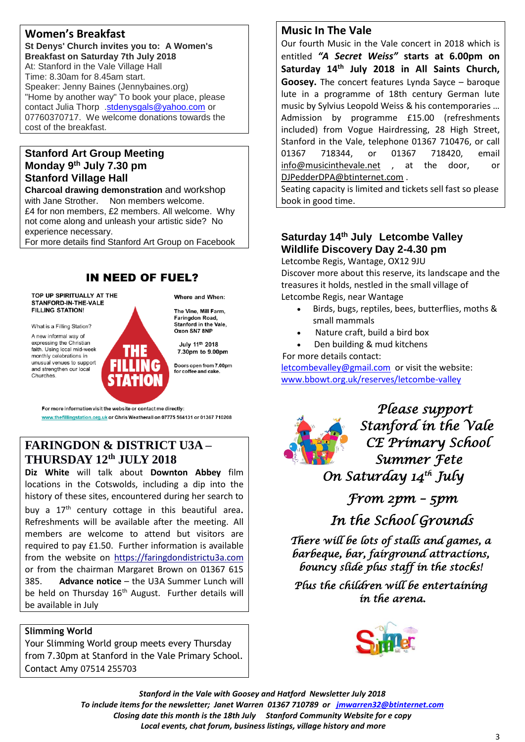## **Women's Breakfast**

**St Denys' Church invites you to: A Women's Breakfast on Saturday 7th July 2018** At: Stanford in the Vale Village Hall Time: 8.30am for 8.45am start. Speaker: Jenny Baines (Jennybaines.org) "Home by another way" To book your place, please contact Julia Thorp [.stdenysgals@yahoo.com](mailto:stdenysgals@yahoo.com) or 07760370717. We welcome donations towards the cost of the breakfast.

## **Stanford Art Group Meeting Monday 9 th July 7.30 pm Stanford Village Hall**

**Charcoal drawing demonstration** and workshop with Jane Strother. Non members welcome. £4 for non members, £2 members. All welcome. Why not come along and unleash your artistic side? No experience necessary.

For more details find Stanford Art Group on Facebook

## **IN NEED OF FUEL?**

TOP UP SPIRITUALLY AT THE STANFORD-IN-THE-VALE **FILLING STATION!** 

What is a Filling Station?

A new informal way of expressing the Christian faith. Using local mid-week monthly celebrations in unusual venues to support and strengthen our local Churches

Where and When:

The Vine, Mill Farm. Faringdon Road. Stanford in the Vale, Oxon SN7 8NP

July 11th 2018 7.30pm to 9.00pm

Doors open from 7.00pm<br>for coffee and cake.

For more information visit the website or contact me directly:

www.thefillingstation.org.uk or Chris Weatherall on 07775 564131 or 01367 710208

## **FARINGDON & DISTRICT U3A – THURSDAY 12 th JULY 2018**

**Diz White** will talk about **Downton Abbey** film locations in the Cotswolds, including a dip into the history of these sites, encountered during her search to

buy a  $17<sup>th</sup>$  century cottage in this beautiful area. Refreshments will be available after the meeting. All members are welcome to attend but visitors are required to pay £1.50. Further information is available from the website on [https://faringdondistrictu3a.com](https://faringdondistrictu3a.com/)  or from the chairman Margaret Brown on 01367 615 385. **Advance notice** – the U3A Summer Lunch will be held on Thursday 16<sup>th</sup> August. Further details will be available in July

### **Slimming World**

Your Slimming World group meets every Thursday from 7.30pm at Stanford in the Vale Primary School. Contact Amy 07514 255703

## **Music In The Vale**

Our fourth Music in the Vale concert in 2018 which is entitled *"A Secret Weiss"* **starts at 6.00pm on Saturday 14th July 2018 in All Saints Church, Goosey.** The concert features Lynda Sayce – baroque lute in a programme of 18th century German lute music by Sylvius Leopold Weiss & his contemporaries … Admission by programme £15.00 (refreshments included) from Vogue Hairdressing, 28 High Street, Stanford in the Vale, telephone 01367 710476, or call 01367 718344, or 01367 718420, email [info@musicinthevale.net](mailto:info@musicinthevale.net) , at the door, or [DJPedderDPA@btinternet.com](mailto:DJPedderDPA@btinternet.com) .

Seating capacity is limited and tickets sell fast so please book in good time.

## **Saturday 14th July Letcombe Valley Wildlife Discovery Day 2-4.30 pm**

Letcombe Regis, Wantage, OX12 9JU Discover more about this reserve, its landscape and the treasures it holds, nestled in the small village of Letcombe Regis, near Wantage

- Birds, bugs, reptiles, bees, butterflies, moths & small mammals
- Nature craft, build a bird box
- Den building & mud kitchens

For more details contact:

[letcombevalley@gmail.com](mailto:letcombevalley@gmail.com) or visit the website: [www.bbowt.org.uk/reserves/letcombe-valley](http://www.bbowt.org.uk/reserves/letcombe-valley)



*Please support Stanford in the Vale CE Primary School Summer Fete On Saturday 14th July* 

 *From 2pm – 5pm* 

 *In the School Grounds* 

*There will be lots of stalls and games, a barbeque, bar, fairground attractions, bouncy slide plus staff in the stocks!* 

*Plus the children will be entertaining in the arena.*